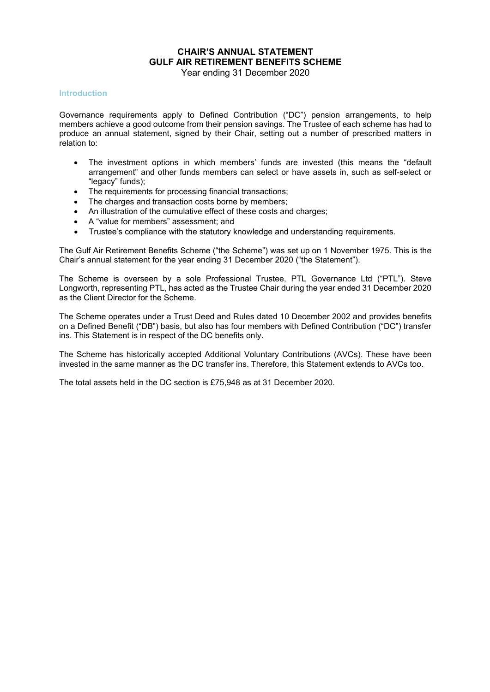## **CHAIR'S ANNUAL STATEMENT GULF AIR RETIREMENT BENEFITS SCHEME**

Year ending 31 December 2020

#### **Introduction**

Governance requirements apply to Defined Contribution ("DC") pension arrangements, to help members achieve a good outcome from their pension savings. The Trustee of each scheme has had to produce an annual statement, signed by their Chair, setting out a number of prescribed matters in relation to:

- The investment options in which members' funds are invested (this means the "default arrangement" and other funds members can select or have assets in, such as self-select or "legacy" funds);
- The requirements for processing financial transactions;
- The charges and transaction costs borne by members;
- An illustration of the cumulative effect of these costs and charges;
- A "value for members" assessment; and
- Trustee's compliance with the statutory knowledge and understanding requirements.

The Gulf Air Retirement Benefits Scheme ("the Scheme") was set up on 1 November 1975. This is the Chair's annual statement for the year ending 31 December 2020 ("the Statement").

The Scheme is overseen by a sole Professional Trustee, PTL Governance Ltd ("PTL"). Steve Longworth, representing PTL, has acted as the Trustee Chair during the year ended 31 December 2020 as the Client Director for the Scheme.

The Scheme operates under a Trust Deed and Rules dated 10 December 2002 and provides benefits on a Defined Benefit ("DB") basis, but also has four members with Defined Contribution ("DC") transfer ins. This Statement is in respect of the DC benefits only.

The Scheme has historically accepted Additional Voluntary Contributions (AVCs). These have been invested in the same manner as the DC transfer ins. Therefore, this Statement extends to AVCs too.

The total assets held in the DC section is £75,948 as at 31 December 2020.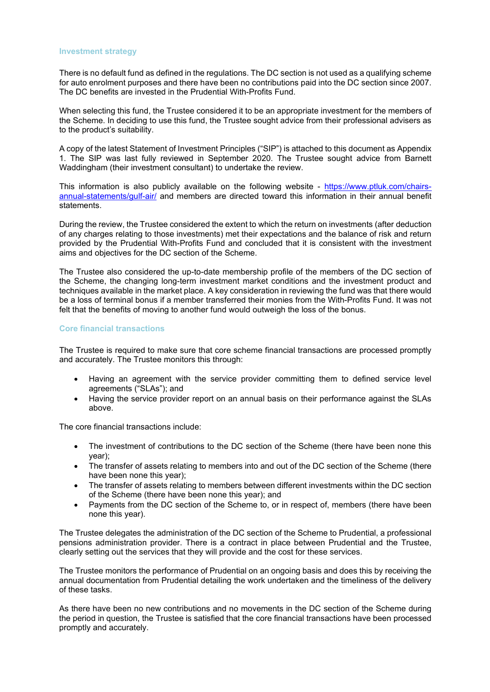#### **Investment strategy**

There is no default fund as defined in the regulations. The DC section is not used as a qualifying scheme for auto enrolment purposes and there have been no contributions paid into the DC section since 2007. The DC benefits are invested in the Prudential With-Profits Fund.

When selecting this fund, the Trustee considered it to be an appropriate investment for the members of the Scheme. In deciding to use this fund, the Trustee sought advice from their professional advisers as to the product's suitability.

A copy of the latest Statement of Investment Principles ("SIP") is attached to this document as Appendix 1. The SIP was last fully reviewed in September 2020. The Trustee sought advice from Barnett Waddingham (their investment consultant) to undertake the review.

This information is also publicly available on the following website - [https://www.ptluk.com/chairs](https://www.ptluk.com/chairs-annual-statements/gulf-air/)[annual-statements/gulf-air/](https://www.ptluk.com/chairs-annual-statements/gulf-air/) and members are directed toward this information in their annual benefit statements.

During the review, the Trustee considered the extent to which the return on investments (after deduction of any charges relating to those investments) met their expectations and the balance of risk and return provided by the Prudential With-Profits Fund and concluded that it is consistent with the investment aims and objectives for the DC section of the Scheme.

The Trustee also considered the up-to-date membership profile of the members of the DC section of the Scheme, the changing long-term investment market conditions and the investment product and techniques available in the market place. A key consideration in reviewing the fund was that there would be a loss of terminal bonus if a member transferred their monies from the With-Profits Fund. It was not felt that the benefits of moving to another fund would outweigh the loss of the bonus.

#### **Core financial transactions**

The Trustee is required to make sure that core scheme financial transactions are processed promptly and accurately. The Trustee monitors this through:

- Having an agreement with the service provider committing them to defined service level agreements ("SLAs"); and
- Having the service provider report on an annual basis on their performance against the SLAs above.

The core financial transactions include:

- The investment of contributions to the DC section of the Scheme (there have been none this year);
- The transfer of assets relating to members into and out of the DC section of the Scheme (there have been none this year);
- The transfer of assets relating to members between different investments within the DC section of the Scheme (there have been none this year); and
- Payments from the DC section of the Scheme to, or in respect of, members (there have been none this year).

The Trustee delegates the administration of the DC section of the Scheme to Prudential, a professional pensions administration provider. There is a contract in place between Prudential and the Trustee, clearly setting out the services that they will provide and the cost for these services.

The Trustee monitors the performance of Prudential on an ongoing basis and does this by receiving the annual documentation from Prudential detailing the work undertaken and the timeliness of the delivery of these tasks.

As there have been no new contributions and no movements in the DC section of the Scheme during the period in question, the Trustee is satisfied that the core financial transactions have been processed promptly and accurately.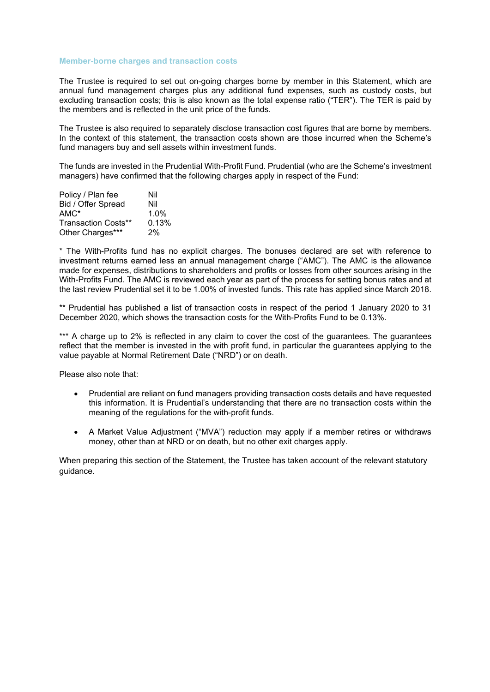#### **Member-borne charges and transaction costs**

The Trustee is required to set out on-going charges borne by member in this Statement, which are annual fund management charges plus any additional fund expenses, such as custody costs, but excluding transaction costs; this is also known as the total expense ratio ("TER"). The TER is paid by the members and is reflected in the unit price of the funds.

The Trustee is also required to separately disclose transaction cost figures that are borne by members. In the context of this statement, the transaction costs shown are those incurred when the Scheme's fund managers buy and sell assets within investment funds.

The funds are invested in the Prudential With-Profit Fund. Prudential (who are the Scheme's investment managers) have confirmed that the following charges apply in respect of the Fund:

| Policy / Plan fee          | Nil   |
|----------------------------|-------|
| Bid / Offer Spread         | Nil   |
| $AMC^*$                    | 1.0%  |
| <b>Transaction Costs**</b> | 0.13% |
| Other Charges***           | 2%    |

\* The With-Profits fund has no explicit charges. The bonuses declared are set with reference to investment returns earned less an annual management charge ("AMC"). The AMC is the allowance made for expenses, distributions to shareholders and profits or losses from other sources arising in the With-Profits Fund. The AMC is reviewed each year as part of the process for setting bonus rates and at the last review Prudential set it to be 1.00% of invested funds. This rate has applied since March 2018.

\*\* Prudential has published a list of transaction costs in respect of the period 1 January 2020 to 31 December 2020, which shows the transaction costs for the With-Profits Fund to be 0.13%.

\*\*\* A charge up to 2% is reflected in any claim to cover the cost of the guarantees. The guarantees reflect that the member is invested in the with profit fund, in particular the guarantees applying to the value payable at Normal Retirement Date ("NRD") or on death.

Please also note that:

- Prudential are reliant on fund managers providing transaction costs details and have requested this information. It is Prudential's understanding that there are no transaction costs within the meaning of the regulations for the with-profit funds.
- A Market Value Adjustment ("MVA") reduction may apply if a member retires or withdraws money, other than at NRD or on death, but no other exit charges apply.

When preparing this section of the Statement, the Trustee has taken account of the relevant statutory guidance.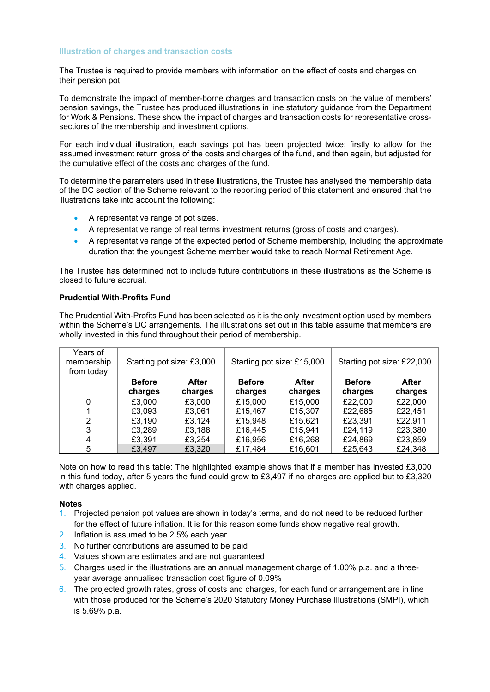#### **Illustration of charges and transaction costs**

The Trustee is required to provide members with information on the effect of costs and charges on their pension pot.

To demonstrate the impact of member-borne charges and transaction costs on the value of members' pension savings, the Trustee has produced illustrations in line statutory guidance from the Department for Work & Pensions. These show the impact of charges and transaction costs for representative crosssections of the membership and investment options.

For each individual illustration, each savings pot has been projected twice; firstly to allow for the assumed investment return gross of the costs and charges of the fund, and then again, but adjusted for the cumulative effect of the costs and charges of the fund.

To determine the parameters used in these illustrations, the Trustee has analysed the membership data of the DC section of the Scheme relevant to the reporting period of this statement and ensured that the illustrations take into account the following:

- A representative range of pot sizes.
- A representative range of real terms investment returns (gross of costs and charges).
- A representative range of the expected period of Scheme membership, including the approximate duration that the youngest Scheme member would take to reach Normal Retirement Age.

The Trustee has determined not to include future contributions in these illustrations as the Scheme is closed to future accrual.

## **Prudential With-Profits Fund**

The Prudential With-Profits Fund has been selected as it is the only investment option used by members within the Scheme's DC arrangements. The illustrations set out in this table assume that members are wholly invested in this fund throughout their period of membership.

| Years of<br>membership<br>from today | Starting pot size: £3,000 |         | Starting pot size: £15,000 |         | Starting pot size: £22,000 |         |
|--------------------------------------|---------------------------|---------|----------------------------|---------|----------------------------|---------|
|                                      | <b>Before</b>             | After   | <b>Before</b>              | After   | <b>Before</b>              | After   |
|                                      | charges                   | charges | charges                    | charges | charges                    | charges |
| 0                                    | £3,000                    | £3,000  | £15,000                    | £15,000 | £22,000                    | £22,000 |
|                                      | £3,093                    | £3,061  | £15,467                    | £15,307 | £22,685                    | £22,451 |
| 2                                    | £3.190                    | £3.124  | £15,948                    | £15,621 | £23,391                    | £22.911 |
| 3                                    | £3,289                    | £3,188  | £16,445                    | £15.941 | £24,119                    | £23,380 |
| 4                                    | £3.391                    | £3.254  | £16,956                    | £16,268 | £24,869                    | £23,859 |
| 5                                    | £3,497                    | £3,320  | £17,484                    | £16,601 | £25,643                    | £24,348 |

Note on how to read this table: The highlighted example shows that if a member has invested £3,000 in this fund today, after 5 years the fund could grow to £3,497 if no charges are applied but to £3,320 with charges applied.

#### **Notes**

- 1. Projected pension pot values are shown in today's terms, and do not need to be reduced further for the effect of future inflation. It is for this reason some funds show negative real growth.
- 2. Inflation is assumed to be 2.5% each year
- 3. No further contributions are assumed to be paid
- 4. Values shown are estimates and are not guaranteed
- 5. Charges used in the illustrations are an annual management charge of 1.00% p.a. and a threeyear average annualised transaction cost figure of 0.09%
- 6. The projected growth rates, gross of costs and charges, for each fund or arrangement are in line with those produced for the Scheme's 2020 Statutory Money Purchase Illustrations (SMPI), which is 5.69% p.a.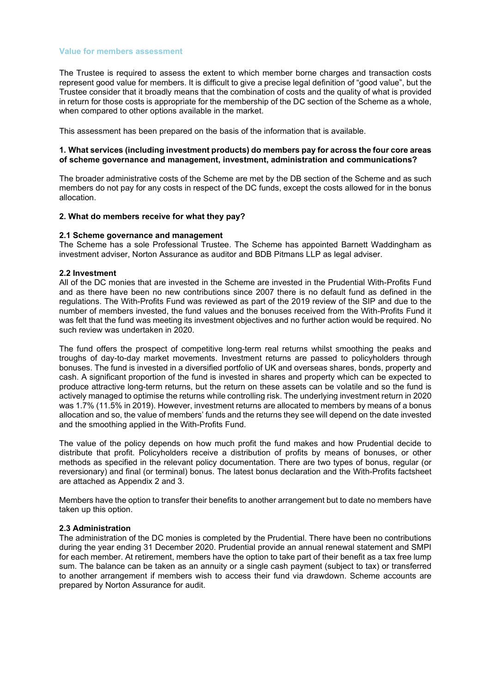#### **Value for members assessment**

The Trustee is required to assess the extent to which member borne charges and transaction costs represent good value for members. It is difficult to give a precise legal definition of "good value", but the Trustee consider that it broadly means that the combination of costs and the quality of what is provided in return for those costs is appropriate for the membership of the DC section of the Scheme as a whole, when compared to other options available in the market.

This assessment has been prepared on the basis of the information that is available.

#### **1. What services (including investment products) do members pay for across the four core areas of scheme governance and management, investment, administration and communications?**

The broader administrative costs of the Scheme are met by the DB section of the Scheme and as such members do not pay for any costs in respect of the DC funds, except the costs allowed for in the bonus allocation.

#### **2. What do members receive for what they pay?**

#### **2.1 Scheme governance and management**

The Scheme has a sole Professional Trustee. The Scheme has appointed Barnett Waddingham as investment adviser, Norton Assurance as auditor and BDB Pitmans LLP as legal adviser.

#### **2.2 Investment**

All of the DC monies that are invested in the Scheme are invested in the Prudential With-Profits Fund and as there have been no new contributions since 2007 there is no default fund as defined in the regulations. The With-Profits Fund was reviewed as part of the 2019 review of the SIP and due to the number of members invested, the fund values and the bonuses received from the With-Profits Fund it was felt that the fund was meeting its investment objectives and no further action would be required. No such review was undertaken in 2020.

The fund offers the prospect of competitive long-term real returns whilst smoothing the peaks and troughs of day-to-day market movements. Investment returns are passed to policyholders through bonuses. The fund is invested in a diversified portfolio of UK and overseas shares, bonds, property and cash. A significant proportion of the fund is invested in shares and property which can be expected to produce attractive long-term returns, but the return on these assets can be volatile and so the fund is actively managed to optimise the returns while controlling risk. The underlying investment return in 2020 was 1.7% (11.5% in 2019). However, investment returns are allocated to members by means of a bonus allocation and so, the value of members' funds and the returns they see will depend on the date invested and the smoothing applied in the With-Profits Fund.

The value of the policy depends on how much profit the fund makes and how Prudential decide to distribute that profit. Policyholders receive a distribution of profits by means of bonuses, or other methods as specified in the relevant policy documentation. There are two types of bonus, regular (or reversionary) and final (or terminal) bonus. The latest bonus declaration and the With-Profits factsheet are attached as Appendix 2 and 3.

Members have the option to transfer their benefits to another arrangement but to date no members have taken up this option.

#### **2.3 Administration**

The administration of the DC monies is completed by the Prudential. There have been no contributions during the year ending 31 December 2020. Prudential provide an annual renewal statement and SMPI for each member. At retirement, members have the option to take part of their benefit as a tax free lump sum. The balance can be taken as an annuity or a single cash payment (subject to tax) or transferred to another arrangement if members wish to access their fund via drawdown. Scheme accounts are prepared by Norton Assurance for audit.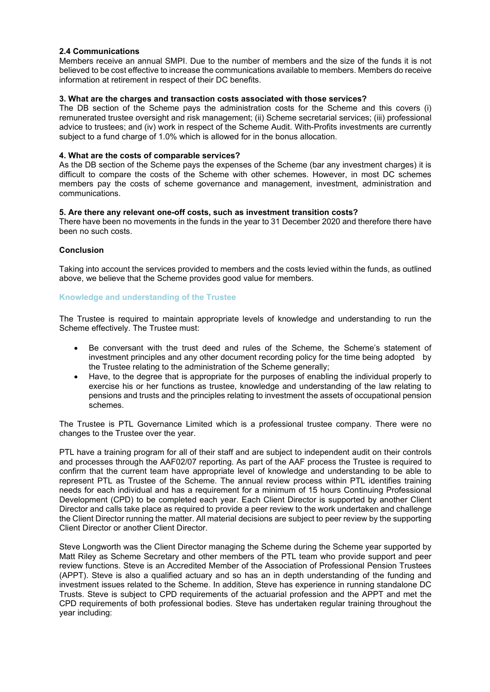#### **2.4 Communications**

Members receive an annual SMPI. Due to the number of members and the size of the funds it is not believed to be cost effective to increase the communications available to members. Members do receive information at retirement in respect of their DC benefits.

## **3. What are the charges and transaction costs associated with those services?**

The DB section of the Scheme pays the administration costs for the Scheme and this covers (i) remunerated trustee oversight and risk management; (ii) Scheme secretarial services; (iii) professional advice to trustees; and (iv) work in respect of the Scheme Audit. With-Profits investments are currently subject to a fund charge of 1.0% which is allowed for in the bonus allocation.

## **4. What are the costs of comparable services?**

As the DB section of the Scheme pays the expenses of the Scheme (bar any investment charges) it is difficult to compare the costs of the Scheme with other schemes. However, in most DC schemes members pay the costs of scheme governance and management, investment, administration and communications.

#### **5. Are there any relevant one-off costs, such as investment transition costs?**

There have been no movements in the funds in the year to 31 December 2020 and therefore there have been no such costs.

## **Conclusion**

Taking into account the services provided to members and the costs levied within the funds, as outlined above, we believe that the Scheme provides good value for members.

#### **Knowledge and understanding of the Trustee**

The Trustee is required to maintain appropriate levels of knowledge and understanding to run the Scheme effectively. The Trustee must:

- Be conversant with the trust deed and rules of the Scheme, the Scheme's statement of investment principles and any other document recording policy for the time being adopted by the Trustee relating to the administration of the Scheme generally;
- Have, to the degree that is appropriate for the purposes of enabling the individual properly to exercise his or her functions as trustee, knowledge and understanding of the law relating to pensions and trusts and the principles relating to investment the assets of occupational pension schemes.

The Trustee is PTL Governance Limited which is a professional trustee company. There were no changes to the Trustee over the year.

PTL have a training program for all of their staff and are subject to independent audit on their controls and processes through the AAF02/07 reporting. As part of the AAF process the Trustee is required to confirm that the current team have appropriate level of knowledge and understanding to be able to represent PTL as Trustee of the Scheme. The annual review process within PTL identifies training needs for each individual and has a requirement for a minimum of 15 hours Continuing Professional Development (CPD) to be completed each year. Each Client Director is supported by another Client Director and calls take place as required to provide a peer review to the work undertaken and challenge the Client Director running the matter. All material decisions are subject to peer review by the supporting Client Director or another Client Director.

Steve Longworth was the Client Director managing the Scheme during the Scheme year supported by Matt Riley as Scheme Secretary and other members of the PTL team who provide support and peer review functions. Steve is an Accredited Member of the Association of Professional Pension Trustees (APPT). Steve is also a qualified actuary and so has an in depth understanding of the funding and investment issues related to the Scheme. In addition, Steve has experience in running standalone DC Trusts. Steve is subject to CPD requirements of the actuarial profession and the APPT and met the CPD requirements of both professional bodies. Steve has undertaken regular training throughout the year including: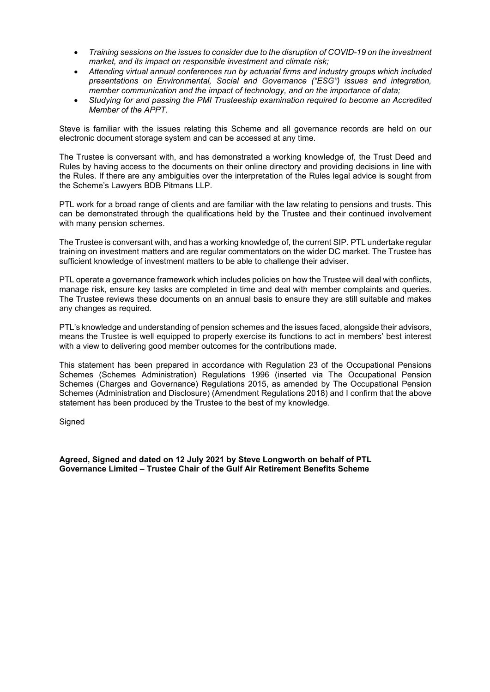- *Training sessions on the issues to consider due to the disruption of COVID-19 on the investment market, and its impact on responsible investment and climate risk;*
- *Attending virtual annual conferences run by actuarial firms and industry groups which included presentations on Environmental, Social and Governance ("ESG") issues and integration, member communication and the impact of technology, and on the importance of data;*
- *Studying for and passing the PMI Trusteeship examination required to become an Accredited Member of the APPT.*

Steve is familiar with the issues relating this Scheme and all governance records are held on our electronic document storage system and can be accessed at any time.

The Trustee is conversant with, and has demonstrated a working knowledge of, the Trust Deed and Rules by having access to the documents on their online directory and providing decisions in line with the Rules. If there are any ambiguities over the interpretation of the Rules legal advice is sought from the Scheme's Lawyers BDB Pitmans LLP.

PTL work for a broad range of clients and are familiar with the law relating to pensions and trusts. This can be demonstrated through the qualifications held by the Trustee and their continued involvement with many pension schemes.

The Trustee is conversant with, and has a working knowledge of, the current SIP. PTL undertake regular training on investment matters and are regular commentators on the wider DC market. The Trustee has sufficient knowledge of investment matters to be able to challenge their adviser.

PTL operate a governance framework which includes policies on how the Trustee will deal with conflicts, manage risk, ensure key tasks are completed in time and deal with member complaints and queries. The Trustee reviews these documents on an annual basis to ensure they are still suitable and makes any changes as required.

PTL's knowledge and understanding of pension schemes and the issues faced, alongside their advisors, means the Trustee is well equipped to properly exercise its functions to act in members' best interest with a view to delivering good member outcomes for the contributions made.

This statement has been prepared in accordance with Regulation 23 of the Occupational Pensions Schemes (Schemes Administration) Regulations 1996 (inserted via The Occupational Pension Schemes (Charges and Governance) Regulations 2015, as amended by The Occupational Pension Schemes (Administration and Disclosure) (Amendment Regulations 2018) and I confirm that the above statement has been produced by the Trustee to the best of my knowledge.

**Signed** 

**Agreed, Signed and dated on 12 July 2021 by Steve Longworth on behalf of PTL Governance Limited – Trustee Chair of the Gulf Air Retirement Benefits Scheme**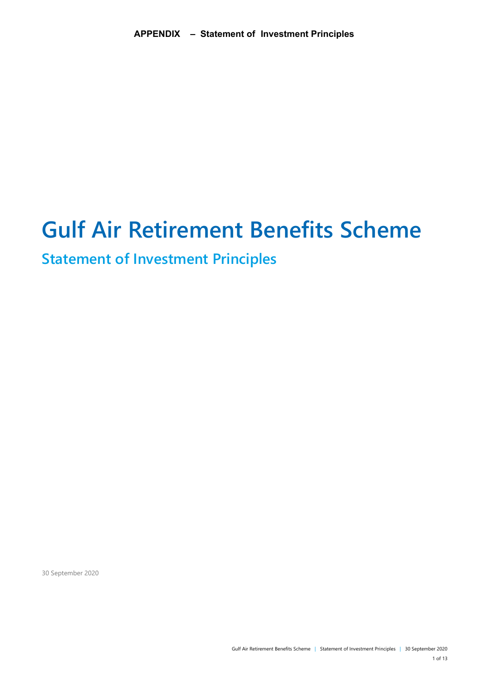# **Gulf Air Retirement Benefits Scheme**

# **Statement of Investment Principles**

30 September 2020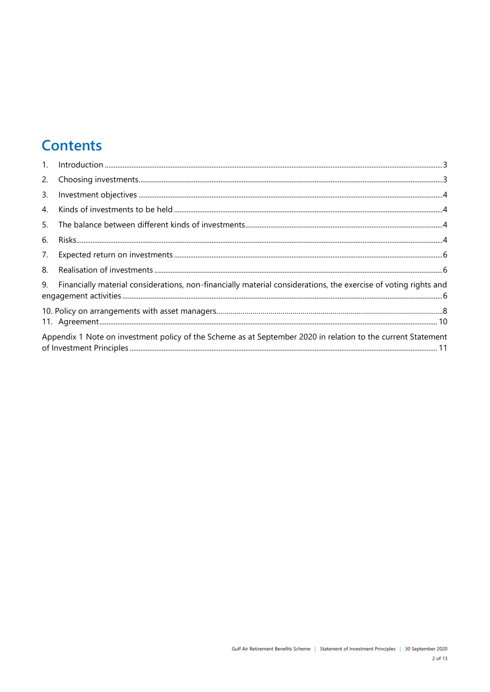# **Contents**

| 1.             |                                                                                                                 |
|----------------|-----------------------------------------------------------------------------------------------------------------|
| 2.             |                                                                                                                 |
| 3.             |                                                                                                                 |
| $\mathbf{4}$ . |                                                                                                                 |
| 5.             |                                                                                                                 |
| 6.             |                                                                                                                 |
| 7.             |                                                                                                                 |
| 8.             |                                                                                                                 |
| 9.             | Financially material considerations, non-financially material considerations, the exercise of voting rights and |
|                |                                                                                                                 |
|                | Appendix 1 Note on investment policy of the Scheme as at September 2020 in relation to the current Statement    |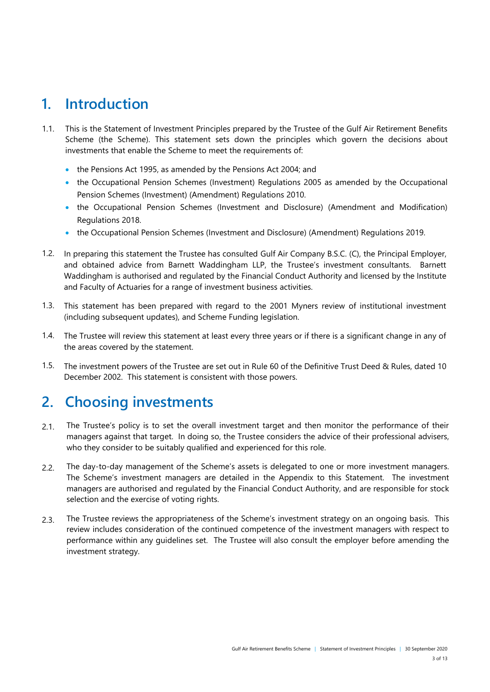# <span id="page-9-0"></span>**1. Introduction**

- 1.1. This is the Statement of Investment Principles prepared by the Trustee of the Gulf Air Retirement Benefits Scheme (the Scheme). This statement sets down the principles which govern the decisions about investments that enable the Scheme to meet the requirements of:
	- the Pensions Act 1995, as amended by the Pensions Act 2004; and
	- the Occupational Pension Schemes (Investment) Regulations 2005 as amended by the Occupational Pension Schemes (Investment) (Amendment) Regulations 2010.
	- the Occupational Pension Schemes (Investment and Disclosure) (Amendment and Modification) Regulations 2018.
	- the Occupational Pension Schemes (Investment and Disclosure) (Amendment) Regulations 2019.
- 1.2. In preparing this statement the Trustee has consulted Gulf Air Company B.S.C. (C), the Principal Employer, and obtained advice from Barnett Waddingham LLP, the Trustee's investment consultants. Barnett Waddingham is authorised and regulated by the Financial Conduct Authority and licensed by the Institute and Faculty of Actuaries for a range of investment business activities.
- 1.3. This statement has been prepared with regard to the 2001 Myners review of institutional investment (including subsequent updates), and Scheme Funding legislation.
- 1.4. The Trustee will review this statement at least every three years or if there is a significant change in any of the areas covered by the statement.
- 1.5. The investment powers of the Trustee are set out in Rule 60 of the Definitive Trust Deed & Rules, dated 10 December 2002. This statement is consistent with those powers.

# <span id="page-9-1"></span>**2. Choosing investments**

- 2.1. The Trustee's policy is to set the overall investment target and then monitor the performance of their managers against that target. In doing so, the Trustee considers the advice of their professional advisers, who they consider to be suitably qualified and experienced for this role.
- 2.2. The day-to-day management of the Scheme's assets is delegated to one or more investment managers. The Scheme's investment managers are detailed in the Appendix to this Statement. The investment managers are authorised and regulated by the Financial Conduct Authority, and are responsible for stock selection and the exercise of voting rights.
- 2.3. The Trustee reviews the appropriateness of the Scheme's investment strategy on an ongoing basis. This review includes consideration of the continued competence of the investment managers with respect to performance within any guidelines set. The Trustee will also consult the employer before amending the investment strategy.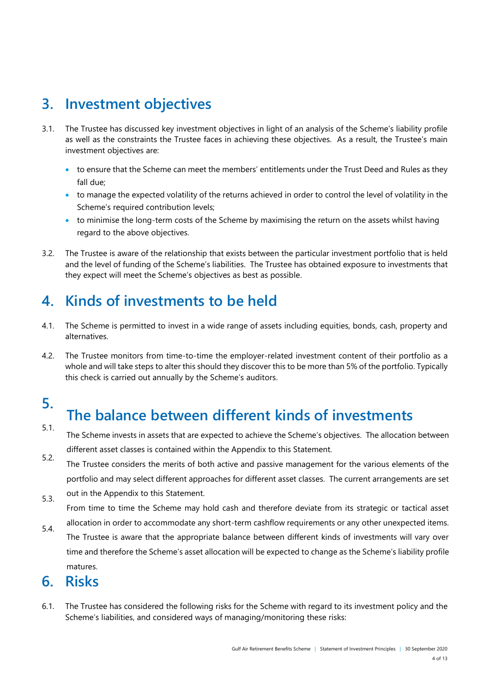# <span id="page-10-0"></span>**3. Investment objectives**

- 3.1. The Trustee has discussed key investment objectives in light of an analysis of the Scheme's liability profile as well as the constraints the Trustee faces in achieving these objectives. As a result, the Trustee's main investment objectives are:
	- to ensure that the Scheme can meet the members' entitlements under the Trust Deed and Rules as they fall due;
	- to manage the expected volatility of the returns achieved in order to control the level of volatility in the Scheme's required contribution levels;
	- to minimise the long-term costs of the Scheme by maximising the return on the assets whilst having regard to the above objectives.
- 3.2. The Trustee is aware of the relationship that exists between the particular investment portfolio that is held and the level of funding of the Scheme's liabilities. The Trustee has obtained exposure to investments that they expect will meet the Scheme's objectives as best as possible.

# <span id="page-10-1"></span>**4. Kinds of investments to be held**

- 4.1. The Scheme is permitted to invest in a wide range of assets including equities, bonds, cash, property and alternatives.
- 4.2. The Trustee monitors from time-to-time the employer-related investment content of their portfolio as a whole and will take steps to alter this should they discover this to be more than 5% of the portfolio. Typically this check is carried out annually by the Scheme's auditors.

# <span id="page-10-2"></span>**5.**

# **The balance between different kinds of investments**

- 5.1. The Scheme invests in assets that are expected to achieve the Scheme's objectives. The allocation between different asset classes is contained within the Appendix to this Statement.
- 5.2. The Trustee considers the merits of both active and passive management for the various elements of the portfolio and may select different approaches for different asset classes. The current arrangements are set
- 5.3. out in the Appendix to this Statement.

From time to time the Scheme may hold cash and therefore deviate from its strategic or tactical asset

5.4. allocation in order to accommodate any short-term cashflow requirements or any other unexpected items. The Trustee is aware that the appropriate balance between different kinds of investments will vary over time and therefore the Scheme's asset allocation will be expected to change as the Scheme's liability profile matures.

# <span id="page-10-3"></span>**6. Risks**

6.1. The Trustee has considered the following risks for the Scheme with regard to its investment policy and the Scheme's liabilities, and considered ways of managing/monitoring these risks: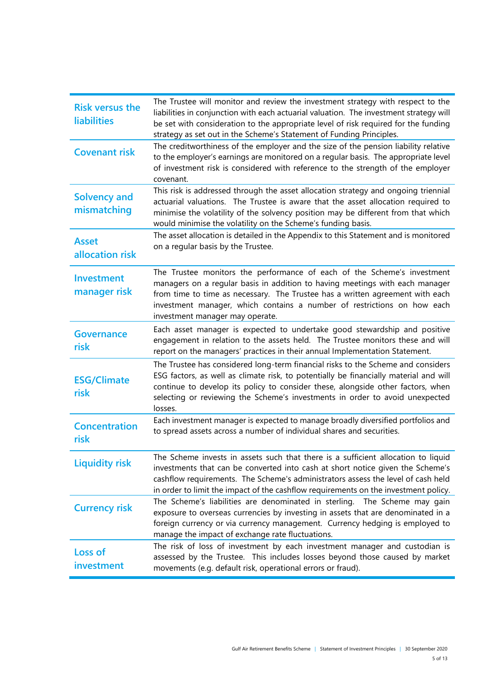| <b>Risk versus the</b><br><b>liabilities</b> | The Trustee will monitor and review the investment strategy with respect to the<br>liabilities in conjunction with each actuarial valuation. The investment strategy will<br>be set with consideration to the appropriate level of risk required for the funding<br>strategy as set out in the Scheme's Statement of Funding Principles.                |
|----------------------------------------------|---------------------------------------------------------------------------------------------------------------------------------------------------------------------------------------------------------------------------------------------------------------------------------------------------------------------------------------------------------|
| <b>Covenant risk</b>                         | The creditworthiness of the employer and the size of the pension liability relative<br>to the employer's earnings are monitored on a regular basis. The appropriate level<br>of investment risk is considered with reference to the strength of the employer<br>covenant.                                                                               |
| <b>Solvency and</b><br>mismatching           | This risk is addressed through the asset allocation strategy and ongoing triennial<br>actuarial valuations. The Trustee is aware that the asset allocation required to<br>minimise the volatility of the solvency position may be different from that which<br>would minimise the volatility on the Scheme's funding basis.                             |
| <b>Asset</b><br>allocation risk              | The asset allocation is detailed in the Appendix to this Statement and is monitored<br>on a regular basis by the Trustee.                                                                                                                                                                                                                               |
| Investment<br>manager risk                   | The Trustee monitors the performance of each of the Scheme's investment<br>managers on a regular basis in addition to having meetings with each manager<br>from time to time as necessary. The Trustee has a written agreement with each<br>investment manager, which contains a number of restrictions on how each<br>investment manager may operate.  |
| <b>Governance</b><br>risk                    | Each asset manager is expected to undertake good stewardship and positive<br>engagement in relation to the assets held. The Trustee monitors these and will<br>report on the managers' practices in their annual Implementation Statement.                                                                                                              |
| <b>ESG/Climate</b><br>risk                   | The Trustee has considered long-term financial risks to the Scheme and considers<br>ESG factors, as well as climate risk, to potentially be financially material and will<br>continue to develop its policy to consider these, alongside other factors, when<br>selecting or reviewing the Scheme's investments in order to avoid unexpected<br>losses. |
| <b>Concentration</b><br>risk                 | Each investment manager is expected to manage broadly diversified portfolios and<br>to spread assets across a number of individual shares and securities.                                                                                                                                                                                               |
| <b>Liquidity risk</b>                        | The Scheme invests in assets such that there is a sufficient allocation to liquid<br>investments that can be converted into cash at short notice given the Scheme's<br>cashflow requirements. The Scheme's administrators assess the level of cash held<br>in order to limit the impact of the cashflow requirements on the investment policy.          |
| <b>Currency risk</b>                         | The Scheme's liabilities are denominated in sterling. The Scheme may gain<br>exposure to overseas currencies by investing in assets that are denominated in a<br>foreign currency or via currency management. Currency hedging is employed to<br>manage the impact of exchange rate fluctuations.                                                       |
| <b>Loss of</b><br>investment                 | The risk of loss of investment by each investment manager and custodian is<br>assessed by the Trustee. This includes losses beyond those caused by market<br>movements (e.g. default risk, operational errors or fraud).                                                                                                                                |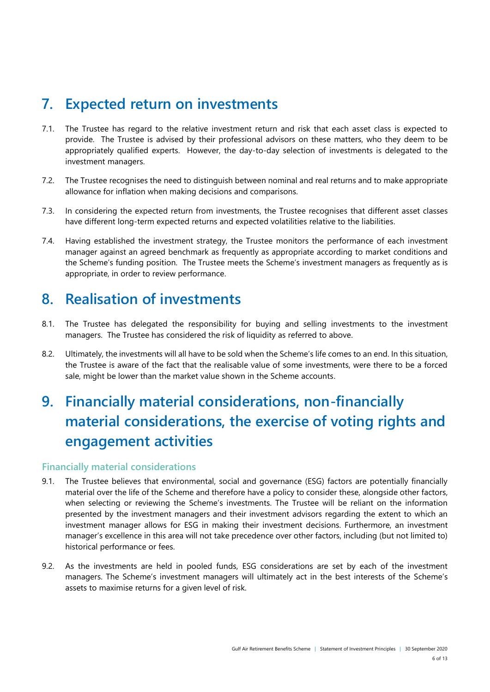# <span id="page-12-0"></span>**7. Expected return on investments**

- 7.1. The Trustee has regard to the relative investment return and risk that each asset class is expected to provide. The Trustee is advised by their professional advisors on these matters, who they deem to be appropriately qualified experts. However, the day-to-day selection of investments is delegated to the investment managers.
- 7.2. The Trustee recognises the need to distinguish between nominal and real returns and to make appropriate allowance for inflation when making decisions and comparisons.
- 7.3. In considering the expected return from investments, the Trustee recognises that different asset classes have different long-term expected returns and expected volatilities relative to the liabilities.
- 7.4. Having established the investment strategy, the Trustee monitors the performance of each investment manager against an agreed benchmark as frequently as appropriate according to market conditions and the Scheme's funding position. The Trustee meets the Scheme's investment managers as frequently as is appropriate, in order to review performance.

# <span id="page-12-1"></span>**8. Realisation of investments**

- 8.1. The Trustee has delegated the responsibility for buying and selling investments to the investment managers. The Trustee has considered the risk of liquidity as referred to above.
- 8.2. Ultimately, the investments will all have to be sold when the Scheme's life comes to an end. In this situation, the Trustee is aware of the fact that the realisable value of some investments, were there to be a forced sale, might be lower than the market value shown in the Scheme accounts.

# <span id="page-12-2"></span>**9. Financially material considerations, non-financially material considerations, the exercise of voting rights and engagement activities**

## **Financially material considerations**

- 9.1. The Trustee believes that environmental, social and governance (ESG) factors are potentially financially material over the life of the Scheme and therefore have a policy to consider these, alongside other factors, when selecting or reviewing the Scheme's investments. The Trustee will be reliant on the information presented by the investment managers and their investment advisors regarding the extent to which an investment manager allows for ESG in making their investment decisions. Furthermore, an investment manager's excellence in this area will not take precedence over other factors, including (but not limited to) historical performance or fees.
- 9.2. As the investments are held in pooled funds, ESG considerations are set by each of the investment managers. The Scheme's investment managers will ultimately act in the best interests of the Scheme's assets to maximise returns for a given level of risk.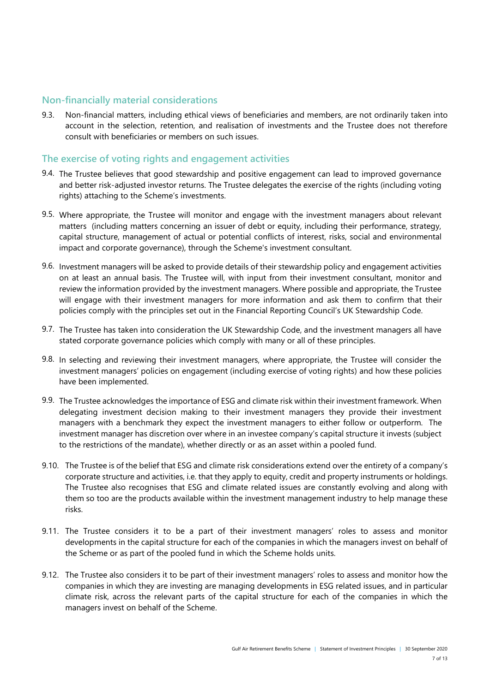## **Non-financially material considerations**

9.3. Non-financial matters, including ethical views of beneficiaries and members, are not ordinarily taken into account in the selection, retention, and realisation of investments and the Trustee does not therefore consult with beneficiaries or members on such issues.

## **The exercise of voting rights and engagement activities**

- 9.4. The Trustee believes that good stewardship and positive engagement can lead to improved governance and better risk-adjusted investor returns. The Trustee delegates the exercise of the rights (including voting rights) attaching to the Scheme's investments.
- 9.5. Where appropriate, the Trustee will monitor and engage with the investment managers about relevant matters (including matters concerning an issuer of debt or equity, including their performance, strategy, capital structure, management of actual or potential conflicts of interest, risks, social and environmental impact and corporate governance), through the Scheme's investment consultant.
- 9.6. Investment managers will be asked to provide details of their stewardship policy and engagement activities on at least an annual basis. The Trustee will, with input from their investment consultant, monitor and review the information provided by the investment managers. Where possible and appropriate, the Trustee will engage with their investment managers for more information and ask them to confirm that their policies comply with the principles set out in the Financial Reporting Council's UK Stewardship Code.
- 9.7. The Trustee has taken into consideration the UK Stewardship Code, and the investment managers all have stated corporate governance policies which comply with many or all of these principles.
- 9.8. In selecting and reviewing their investment managers, where appropriate, the Trustee will consider the investment managers' policies on engagement (including exercise of voting rights) and how these policies have been implemented.
- 9.9. The Trustee acknowledges the importance of ESG and climate risk within their investment framework. When delegating investment decision making to their investment managers they provide their investment managers with a benchmark they expect the investment managers to either follow or outperform. The investment manager has discretion over where in an investee company's capital structure it invests (subject to the restrictions of the mandate), whether directly or as an asset within a pooled fund.
- 9.10. The Trustee is of the belief that ESG and climate risk considerations extend over the entirety of a company's corporate structure and activities, i.e. that they apply to equity, credit and property instruments or holdings. The Trustee also recognises that ESG and climate related issues are constantly evolving and along with them so too are the products available within the investment management industry to help manage these risks.
- 9.11. The Trustee considers it to be a part of their investment managers' roles to assess and monitor developments in the capital structure for each of the companies in which the managers invest on behalf of the Scheme or as part of the pooled fund in which the Scheme holds units.
- 9.12. The Trustee also considers it to be part of their investment managers' roles to assess and monitor how the companies in which they are investing are managing developments in ESG related issues, and in particular climate risk, across the relevant parts of the capital structure for each of the companies in which the managers invest on behalf of the Scheme.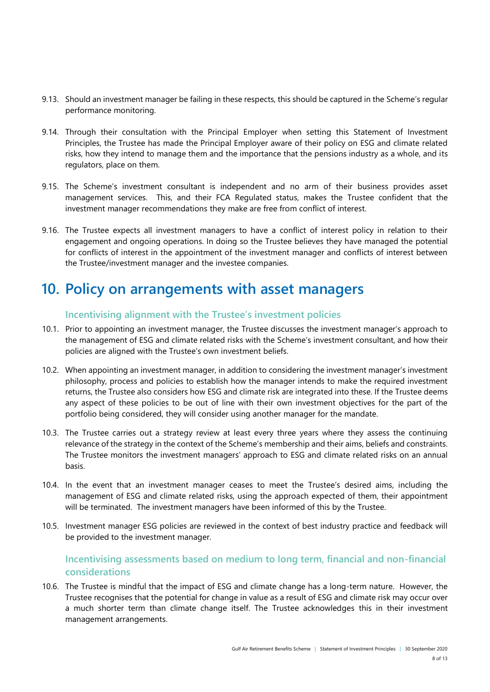- 9.13. Should an investment manager be failing in these respects, this should be captured in the Scheme's regular performance monitoring.
- 9.14. Through their consultation with the Principal Employer when setting this Statement of Investment Principles, the Trustee has made the Principal Employer aware of their policy on ESG and climate related risks, how they intend to manage them and the importance that the pensions industry as a whole, and its regulators, place on them.
- 9.15. The Scheme's investment consultant is independent and no arm of their business provides asset management services. This, and their FCA Regulated status, makes the Trustee confident that the investment manager recommendations they make are free from conflict of interest.
- 9.16. The Trustee expects all investment managers to have a conflict of interest policy in relation to their engagement and ongoing operations. In doing so the Trustee believes they have managed the potential for conflicts of interest in the appointment of the investment manager and conflicts of interest between the Trustee/investment manager and the investee companies.

# **10. Policy on arrangements with asset managers**

## **Incentivising alignment with the Trustee's investment policies**

- 10.1. Prior to appointing an investment manager, the Trustee discusses the investment manager's approach to the management of ESG and climate related risks with the Scheme's investment consultant, and how their policies are aligned with the Trustee's own investment beliefs.
- 10.2. When appointing an investment manager, in addition to considering the investment manager's investment philosophy, process and policies to establish how the manager intends to make the required investment returns, the Trustee also considers how ESG and climate risk are integrated into these. If the Trustee deems any aspect of these policies to be out of line with their own investment objectives for the part of the portfolio being considered, they will consider using another manager for the mandate.
- 10.3. The Trustee carries out a strategy review at least every three years where they assess the continuing relevance of the strategy in the context of the Scheme's membership and their aims, beliefs and constraints. The Trustee monitors the investment managers' approach to ESG and climate related risks on an annual basis.
- 10.4. In the event that an investment manager ceases to meet the Trustee's desired aims, including the management of ESG and climate related risks, using the approach expected of them, their appointment will be terminated. The investment managers have been informed of this by the Trustee.
- 10.5. Investment manager ESG policies are reviewed in the context of best industry practice and feedback will be provided to the investment manager.

## **Incentivising assessments based on medium to long term, financial and non-financial considerations**

10.6. The Trustee is mindful that the impact of ESG and climate change has a long-term nature. However, the Trustee recognises that the potential for change in value as a result of ESG and climate risk may occur over a much shorter term than climate change itself. The Trustee acknowledges this in their investment management arrangements.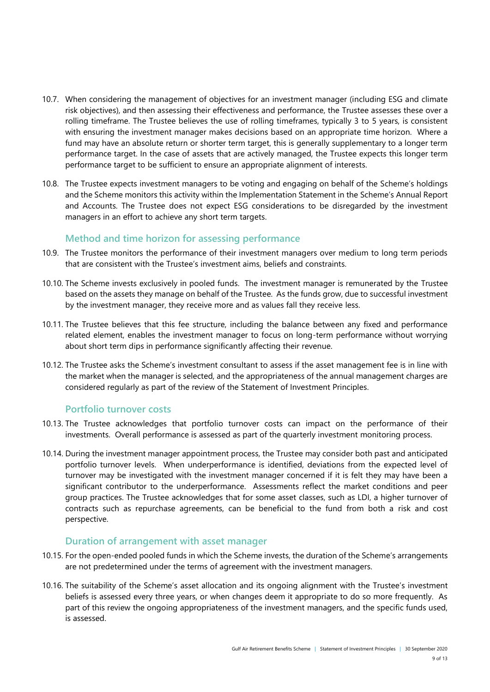- 10.7. When considering the management of objectives for an investment manager (including ESG and climate risk objectives), and then assessing their effectiveness and performance, the Trustee assesses these over a rolling timeframe. The Trustee believes the use of rolling timeframes, typically 3 to 5 years, is consistent with ensuring the investment manager makes decisions based on an appropriate time horizon. Where a fund may have an absolute return or shorter term target, this is generally supplementary to a longer term performance target. In the case of assets that are actively managed, the Trustee expects this longer term performance target to be sufficient to ensure an appropriate alignment of interests.
- 10.8. The Trustee expects investment managers to be voting and engaging on behalf of the Scheme's holdings and the Scheme monitors this activity within the Implementation Statement in the Scheme's Annual Report and Accounts. The Trustee does not expect ESG considerations to be disregarded by the investment managers in an effort to achieve any short term targets.

## **Method and time horizon for assessing performance**

- 10.9. The Trustee monitors the performance of their investment managers over medium to long term periods that are consistent with the Trustee's investment aims, beliefs and constraints.
- 10.10. The Scheme invests exclusively in pooled funds. The investment manager is remunerated by the Trustee based on the assets they manage on behalf of the Trustee. As the funds grow, due to successful investment by the investment manager, they receive more and as values fall they receive less.
- 10.11. The Trustee believes that this fee structure, including the balance between any fixed and performance related element, enables the investment manager to focus on long-term performance without worrying about short term dips in performance significantly affecting their revenue.
- 10.12. The Trustee asks the Scheme's investment consultant to assess if the asset management fee is in line with the market when the manager is selected, and the appropriateness of the annual management charges are considered regularly as part of the review of the Statement of Investment Principles.

## **Portfolio turnover costs**

- 10.13. The Trustee acknowledges that portfolio turnover costs can impact on the performance of their investments. Overall performance is assessed as part of the quarterly investment monitoring process.
- 10.14. During the investment manager appointment process, the Trustee may consider both past and anticipated portfolio turnover levels. When underperformance is identified, deviations from the expected level of turnover may be investigated with the investment manager concerned if it is felt they may have been a significant contributor to the underperformance. Assessments reflect the market conditions and peer group practices. The Trustee acknowledges that for some asset classes, such as LDI, a higher turnover of contracts such as repurchase agreements, can be beneficial to the fund from both a risk and cost perspective.

## **Duration of arrangement with asset manager**

- 10.15. For the open-ended pooled funds in which the Scheme invests, the duration of the Scheme's arrangements are not predetermined under the terms of agreement with the investment managers.
- 10.16. The suitability of the Scheme's asset allocation and its ongoing alignment with the Trustee's investment beliefs is assessed every three years, or when changes deem it appropriate to do so more frequently. As part of this review the ongoing appropriateness of the investment managers, and the specific funds used, is assessed.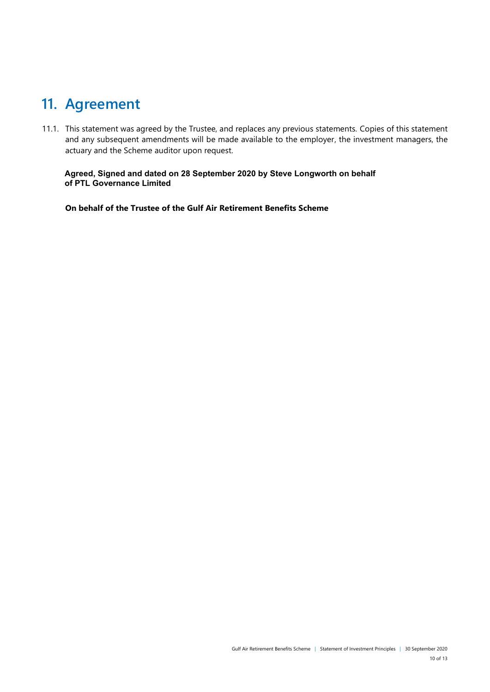# <span id="page-16-0"></span>**11. Agreement**

11.1. This statement was agreed by the Trustee, and replaces any previous statements. Copies of this statement and any subsequent amendments will be made available to the employer, the investment managers, the actuary and the Scheme auditor upon request.

**Agreed, Signed and dated on 28 September 2020 by Steve Longworth on behalf of PTL Governance Limited** 

**On behalf of the Trustee of the Gulf Air Retirement Benefits Scheme**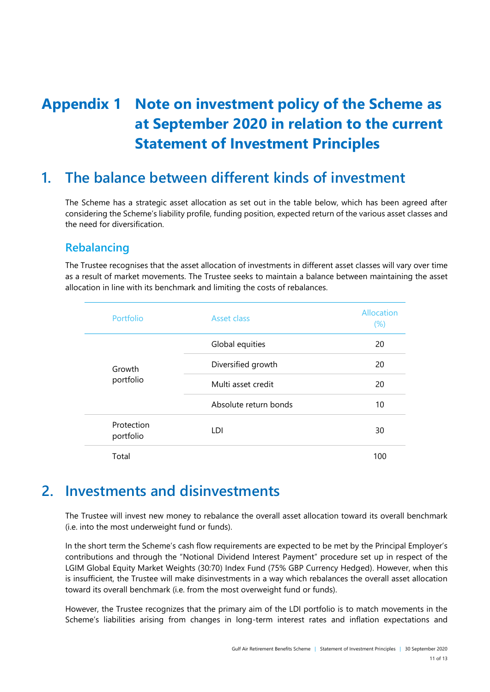# <span id="page-17-0"></span>**Appendix 1 Note on investment policy of the Scheme as at September 2020 in relation to the current Statement of Investment Principles**

# **1. The balance between different kinds of investment**

The Scheme has a strategic asset allocation as set out in the table below, which has been agreed after considering the Scheme's liability profile, funding position, expected return of the various asset classes and the need for diversification.

## **Rebalancing**

The Trustee recognises that the asset allocation of investments in different asset classes will vary over time as a result of market movements. The Trustee seeks to maintain a balance between maintaining the asset allocation in line with its benchmark and limiting the costs of rebalances.

| Portfolio               | Asset class           | Allocation<br>$(\%)$ |
|-------------------------|-----------------------|----------------------|
|                         | Global equities       | 20                   |
| Growth<br>portfolio     | Diversified growth    | 20                   |
|                         | Multi asset credit    | 20                   |
|                         | Absolute return bonds | 10                   |
| Protection<br>portfolio | LDI                   | 30                   |
| Total                   |                       | 100                  |

# **2. Investments and disinvestments**

The Trustee will invest new money to rebalance the overall asset allocation toward its overall benchmark (i.e. into the most underweight fund or funds).

In the short term the Scheme's cash flow requirements are expected to be met by the Principal Employer's contributions and through the "Notional Dividend Interest Payment" procedure set up in respect of the LGIM Global Equity Market Weights (30:70) Index Fund (75% GBP Currency Hedged). However, when this is insufficient, the Trustee will make disinvestments in a way which rebalances the overall asset allocation toward its overall benchmark (i.e. from the most overweight fund or funds).

However, the Trustee recognizes that the primary aim of the LDI portfolio is to match movements in the Scheme's liabilities arising from changes in long-term interest rates and inflation expectations and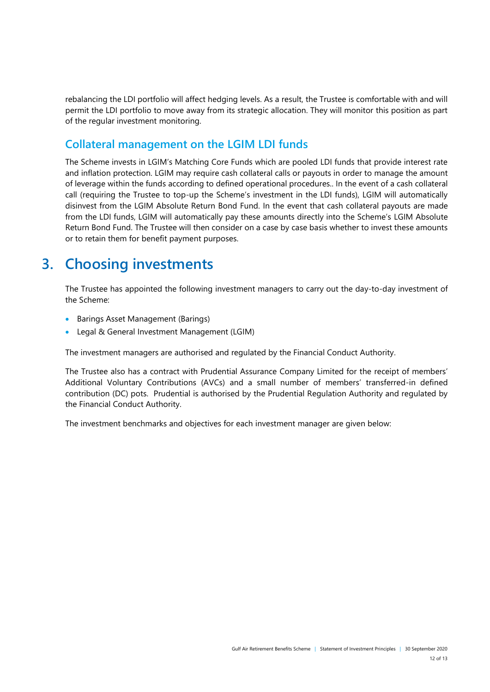rebalancing the LDI portfolio will affect hedging levels. As a result, the Trustee is comfortable with and will permit the LDI portfolio to move away from its strategic allocation. They will monitor this position as part of the regular investment monitoring.

## **Collateral management on the LGIM LDI funds**

The Scheme invests in LGIM's Matching Core Funds which are pooled LDI funds that provide interest rate and inflation protection. LGIM may require cash collateral calls or payouts in order to manage the amount of leverage within the funds according to defined operational procedures.. In the event of a cash collateral call (requiring the Trustee to top-up the Scheme's investment in the LDI funds), LGIM will automatically disinvest from the LGIM Absolute Return Bond Fund. In the event that cash collateral payouts are made from the LDI funds, LGIM will automatically pay these amounts directly into the Scheme's LGIM Absolute Return Bond Fund. The Trustee will then consider on a case by case basis whether to invest these amounts or to retain them for benefit payment purposes.

# **3. Choosing investments**

The Trustee has appointed the following investment managers to carry out the day-to-day investment of the Scheme:

- **•** Barings Asset Management (Barings)
- Legal & General Investment Management (LGIM)

The investment managers are authorised and regulated by the Financial Conduct Authority.

The Trustee also has a contract with Prudential Assurance Company Limited for the receipt of members' Additional Voluntary Contributions (AVCs) and a small number of members' transferred-in defined contribution (DC) pots. Prudential is authorised by the Prudential Regulation Authority and regulated by the Financial Conduct Authority.

The investment benchmarks and objectives for each investment manager are given below: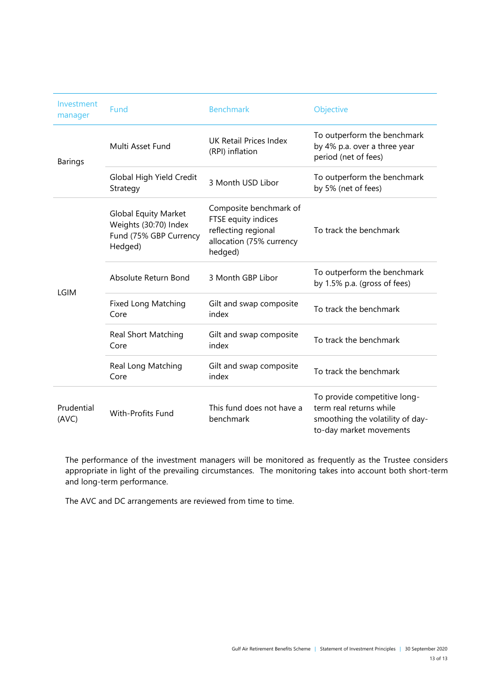| Investment<br>manager | Fund                                                                                      | <b>Benchmark</b>                                                                                            | Objective                                                                                                              |  |  |
|-----------------------|-------------------------------------------------------------------------------------------|-------------------------------------------------------------------------------------------------------------|------------------------------------------------------------------------------------------------------------------------|--|--|
| <b>Barings</b>        | Multi Asset Fund                                                                          | <b>UK Retail Prices Index</b><br>(RPI) inflation                                                            | To outperform the benchmark<br>by 4% p.a. over a three year<br>period (net of fees)                                    |  |  |
|                       | Global High Yield Credit<br>Strategy                                                      | 3 Month USD Libor                                                                                           | To outperform the benchmark<br>by 5% (net of fees)                                                                     |  |  |
| <b>LGIM</b>           | <b>Global Equity Market</b><br>Weights (30:70) Index<br>Fund (75% GBP Currency<br>Hedged) | Composite benchmark of<br>FTSE equity indices<br>reflecting regional<br>allocation (75% currency<br>hedged) | To track the benchmark                                                                                                 |  |  |
|                       | Absolute Return Bond                                                                      | 3 Month GBP Libor                                                                                           | To outperform the benchmark<br>by 1.5% p.a. (gross of fees)                                                            |  |  |
|                       | <b>Fixed Long Matching</b><br>Core                                                        | Gilt and swap composite<br>index                                                                            | To track the benchmark                                                                                                 |  |  |
|                       | <b>Real Short Matching</b><br>Core                                                        | Gilt and swap composite<br>index                                                                            | To track the benchmark                                                                                                 |  |  |
|                       | Real Long Matching<br>Core                                                                | Gilt and swap composite<br>index                                                                            | To track the benchmark                                                                                                 |  |  |
| Prudential<br>(AVC)   | With-Profits Fund                                                                         | This fund does not have a<br>benchmark                                                                      | To provide competitive long-<br>term real returns while<br>smoothing the volatility of day-<br>to-day market movements |  |  |

The performance of the investment managers will be monitored as frequently as the Trustee considers appropriate in light of the prevailing circumstances. The monitoring takes into account both short-term and long-term performance.

The AVC and DC arrangements are reviewed from time to time.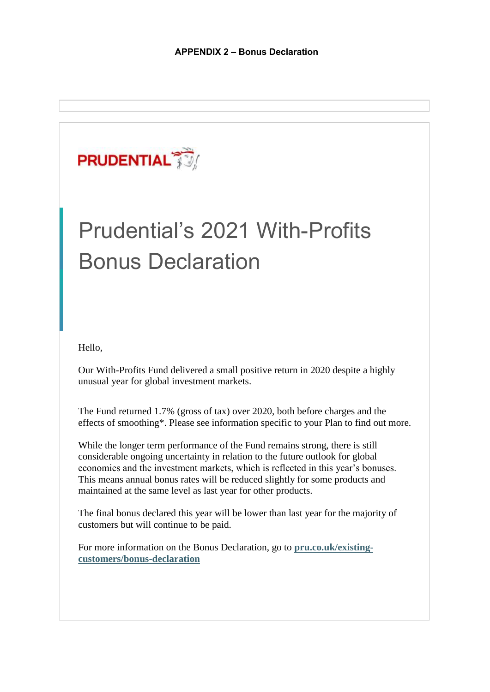

# Prudential's 2021 With-Profits Bonus Declaration

Hello,

Our With-Profits Fund delivered a small positive return in 2020 despite a highly unusual year for global investment markets.

The Fund returned 1.7% (gross of tax) over 2020, both before charges and the effects of smoothing\*. Please see information specific to your Plan to find out more.

While the longer term performance of the Fund remains strong, there is still considerable ongoing uncertainty in relation to the future outlook for global economies and the investment markets, which is reflected in this year's bonuses. This means annual bonus rates will be reduced slightly for some products and maintained at the same level as last year for other products.

The final bonus declared this year will be lower than last year for the majority of customers but will continue to be paid.

For more information on the Bonus Declaration, go to **[pru.co.uk/existing](www.pru.co.uk/existing-customers/bonus-declaration)[customers/bonus-declaration](www.pru.co.uk/existing-customers/bonus-declaration)**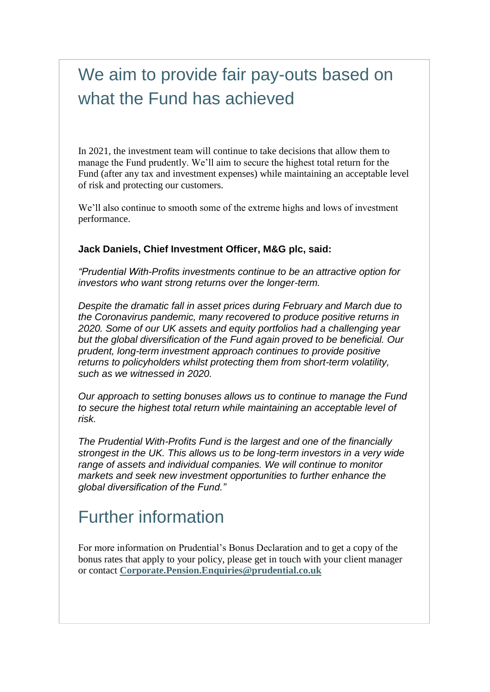# We aim to provide fair pay-outs based on what the Fund has achieved

In 2021, the investment team will continue to take decisions that allow them to manage the Fund prudently. We'll aim to secure the highest total return for the Fund (after any tax and investment expenses) while maintaining an acceptable level of risk and protecting our customers.

We'll also continue to smooth some of the extreme highs and lows of investment performance.

## **Jack Daniels, Chief Investment Officer, M&G plc, said:**

*"Prudential With-Profits investments continue to be an attractive option for investors who want strong returns over the longer-term.* 

*Despite the dramatic fall in asset prices during February and March due to the Coronavirus pandemic, many recovered to produce positive returns in 2020. Some of our UK assets and equity portfolios had a challenging year but the global diversification of the Fund again proved to be beneficial. Our prudent, long-term investment approach continues to provide positive returns to policyholders whilst protecting them from short-term volatility, such as we witnessed in 2020.* 

*Our approach to setting bonuses allows us to continue to manage the Fund to secure the highest total return while maintaining an acceptable level of risk.*

*The Prudential With-Profits Fund is the largest and one of the financially strongest in the UK. This allows us to be long-term investors in a very wide range of assets and individual companies. We will continue to monitor markets and seek new investment opportunities to further enhance the global diversification of the Fund."* 

# Further information

For more information on Prudential's Bonus Declaration and to get a copy of the bonus rates that apply to your policy, please get in touch with your client manager or contact **[Corporate.Pension.Enquiries@prudential.co.uk](mailto:Corporate.Pension.Enquiries@prudential.co.uk)**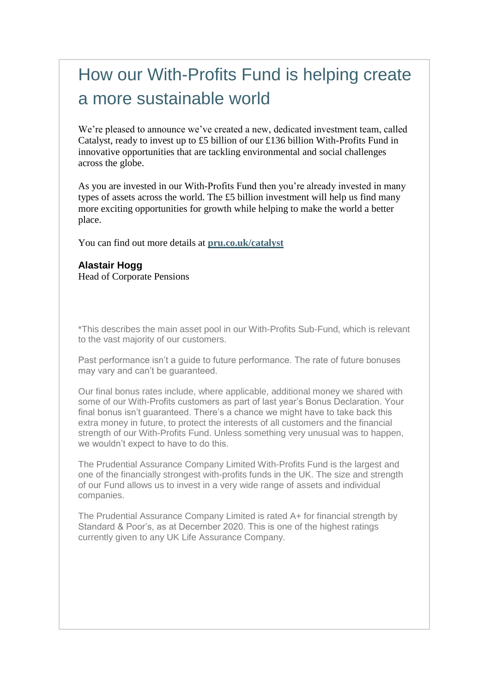# How our With-Profits Fund is helping create a more sustainable world

We're pleased to announce we've created a new, dedicated investment team, called Catalyst, ready to invest up to £5 billion of our £136 billion With-Profits Fund in innovative opportunities that are tackling environmental and social challenges across the globe.

As you are invested in our With-Profits Fund then you're already invested in many types of assets across the world. The £5 billion investment will help us find many more exciting opportunities for growth while helping to make the world a better place.

You can find out more details at **[pru.co.uk/catalyst](www.pru.co.uk/catalyst)**

# **Alastair Hogg**

Head of Corporate Pensions

\*This describes the main asset pool in our With-Profits Sub-Fund, which is relevant to the vast majority of our customers.

Past performance isn't a guide to future performance. The rate of future bonuses may vary and can't be guaranteed.

Our final bonus rates include, where applicable, additional money we shared with some of our With-Profits customers as part of last year's Bonus Declaration. Your final bonus isn't guaranteed. There's a chance we might have to take back this extra money in future, to protect the interests of all customers and the financial strength of our With-Profits Fund. Unless something very unusual was to happen, we wouldn't expect to have to do this.

The Prudential Assurance Company Limited With-Profits Fund is the largest and one of the financially strongest with-profits funds in the UK. The size and strength of our Fund allows us to invest in a very wide range of assets and individual companies.

The Prudential Assurance Company Limited is rated A+ for financial strength by Standard & Poor's, as at December 2020. This is one of the highest ratings currently given to any UK Life Assurance Company.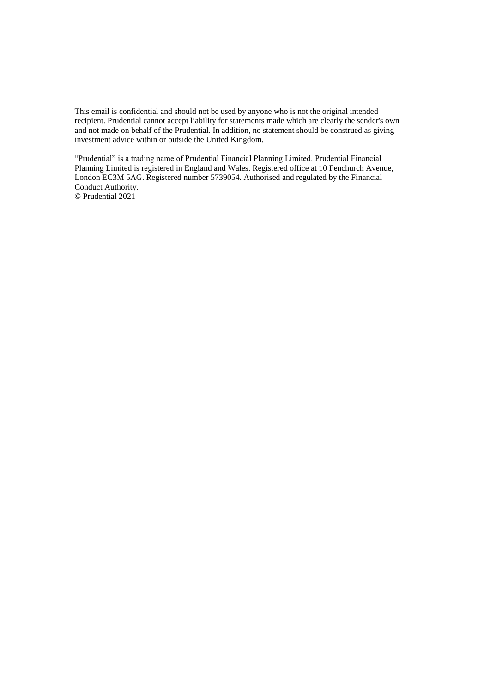This email is confidential and should not be used by anyone who is not the original intended recipient. Prudential cannot accept liability for statements made which are clearly the sender's own and not made on behalf of the Prudential. In addition, no statement should be construed as giving investment advice within or outside the United Kingdom.

"Prudential" is a trading name of Prudential Financial Planning Limited. Prudential Financial Planning Limited is registered in England and Wales. Registered office at 10 Fenchurch Avenue, London EC3M 5AG. Registered number 5739054. Authorised and regulated by the Financial Conduct Authority. © Prudential 2021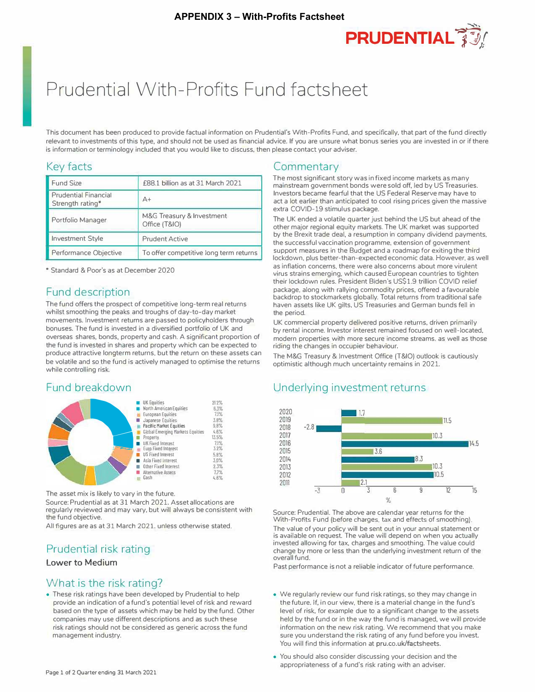

# Prudential With-Profits Fund factsheet

This document has been produced to provide factual information on Prudential's With-Profits Fund, and specifically, that part of the fund directly relevant to investments of this type, and should not be used as financial advice. If you are unsure what bonus series you are invested in or if there is information or terminology included that you would like to discuss, then please contact your adviser.

## Key facts

| <b>Fund Size</b>                                | £88.1 billion as at 31 March 2021          |
|-------------------------------------------------|--------------------------------------------|
| <b>Prudential Financial</b><br>Strength rating* | $A+$                                       |
| Portfolio Manager                               | M&G Treasury & Investment<br>Office (T&IO) |
| <b>Investment Style</b>                         | <b>Prudent Active</b>                      |
| Performance Objective                           | To offer competitive long term returns     |

• Standard & Poor·s as at December 2020

## Fund description

The fund offers the prospect of competitive long-term real returns whilst smoothing the peaks and troughs of day-to-day market movements. Investment returns are passed to policyholders through bonuses. The fund is invested in a diversified portfolio of UK and overseas shares, bonds, property and cash. A significant proportion of the fund is invested in shares and property which can be expected to produce attractive longterm returns, but the return on these assets can be volatile and so the fund is actively managed to optimise the returns while controlling risk.

## Fund breakdown



The asset mix is likely to vary in the future.

Source: Prudential as at 31 March 2021. Asset allocations are regularly reviewed and may vary, but will always be consistent with the fund objective.

All figures are as at 31 March 2021. unless otherwise stated.

## Prudential risk rating

## **Lower to Medium**

## What is the risk rating?

• These risk ratings have been developed by Prudential to help provide an indication of a fund's potential level of risk and reward based on the type of assets which may be held by the fund. Other companies may use different descriptions and as such these risk ratings should not be considered as generic across the fund management industry.

## **Commentary**

The most significant story was in fixed income markets as many mainstream government bonds were sold off, led by US Treasuries. Investors became fearful that the US Federal Reserve may have to act a lot earlier than anticipated to cool rising prices given the massive extra COVID-19 stimulus package.

The UK ended a volatile quarter just behind the US but ahead of the other major regional equity markets. The UK market was supported by the Brexit trade deal, a resumption in company dividend payments, the successful vaccination programme, extension of government support measures in the Budget and a roadmap for exiting the third lockdown, plus better-than-expected economic data. However, as well as inflation concerns, there were also concerns about more virulent virus strains emerging, which caused European countries to tighten their lockdown rules. President Biden's US\$1.9 trillion COVID relief package, along with rallying commodity prices, offered a favourable backdrop to stockmarkets globally. Total returns from traditional safe haven assets like UK gilts. US Treasuries and German bunds fell in the period.

UK commercial property delivered positive returns, driven primarily by rental income. Investor interest remained focused on well-located, modern properties with more secure income streams, as well as those riding the changes in occupier behaviour.

The M&G Treasury & Investment Office (T&IO) outlook is cautiously optimistic although much uncertainty remains in 2021.

## Underlying investment returns



Source: Prudential. The above are calendar year returns for the With-Profits Fund (before charges. tax and effects of smoothing). The value of your policy will be sent out in your annual statement or is available on request. The value will depend on when you actually invested allowing for tax, charges and smoothing. The value could change by more or less than the underlying investment return of the overall fund.

Past performance is not a reliable indicator of future performance.

- We regularly review our fund risk ratings, so they may change in the future. If, in our view, there is a material change in the fund's level of risk, for example due to a significant change to the assets held by the fund or in the way the fund is managed, we will provide information on the new risk rating. We recommend that you make sure you understand the risk rating of any fund before you invest You will find this information at pru.co.uk/factsheets.
- You should also consider discussing your decision and the appropriateness of a fund's risk rating with an adviser.